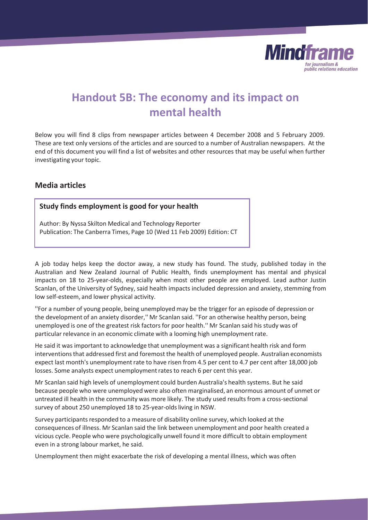

# **Handout 5B: The economy and its impact on mental health**

Below you will find 8 clips from newspaper articles between 4 December 2008 and 5 February 2009. These are text only versions of the articles and are sourced to a number of Australian newspapers. At the end of this document you will find a list of websites and other resources that may be useful when further investigating your topic.

## **Media articles**

#### **Study finds employment is good for your health**

Author: By Nyssa Skilton Medical and Technology Reporter Publication: The Canberra Times, Page 10 (Wed 11 Feb 2009) Edition: CT

A job today helps keep the doctor away, a new study has found. The study, published today in the Australian and New Zealand Journal of Public Health, finds unemployment has mental and physical impacts on 18 to 25-year-olds, especially when most other people are employed. Lead author Justin Scanlan, of the University of Sydney, said health impacts included depression and anxiety, stemming from low self-esteem, and lower physical activity.

''For a number of young people, being unemployed may be the trigger for an episode of depression or the development of an anxiety disorder,'' Mr Scanlan said. ''For an otherwise healthy person, being unemployed is one of the greatest risk factors for poor health.'' Mr Scanlan said his study was of particular relevance in an economic climate with a looming high unemployment rate.

He said it was important to acknowledge that unemployment was a significant health risk and form interventions that addressed first and foremost the health of unemployed people. Australian economists expect last month's unemployment rate to have risen from 4.5 per cent to 4.7 per cent after 18,000 job losses. Some analysts expect unemployment rates to reach 6 per cent this year.

Mr Scanlan said high levels of unemployment could burden Australia's health systems. But he said because people who were unemployed were also often marginalised, an enormous amount of unmet or untreated ill health in the community was more likely. The study used results from a cross-sectional survey of about 250 unemployed 18 to 25-year-olds living in NSW.

Survey participants responded to a measure of disability online survey, which looked at the consequences of illness. Mr Scanlan said the link between unemployment and poor health created a vicious cycle. People who were psychologically unwell found it more difficult to obtain employment even in a strong labour market, he said.

Unemployment then might exacerbate the risk of developing a mental illness, which was often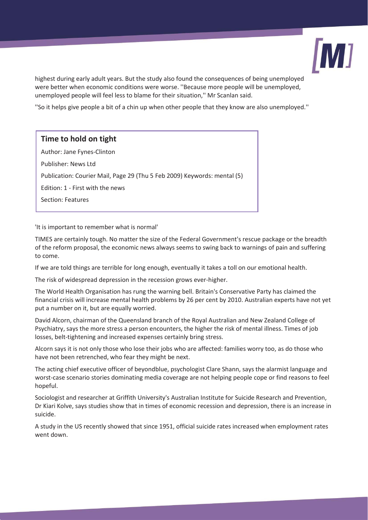

highest during early adult years. But the study also found the consequences of being unemployed were better when economic conditions were worse. ''Because more people will be unemployed, unemployed people will feel less to blame for their situation,'' Mr Scanlan said.

''So it helps give people a bit of a chin up when other people that they know are also unemployed.''

#### **Time to hold on tight**

Author: Jane Fynes-Clinton

Publisher: News Ltd

Publication: Courier Mail, Page 29 (Thu 5 Feb 2009) Keywords: mental (5)

Edition: 1 - First with the news

Section: Features

'It is important to remember what is normal'

TIMES are certainly tough. No matter the size of the Federal Government's rescue package or the breadth of the reform proposal, the economic news always seems to swing back to warnings of pain and suffering to come.

If we are told things are terrible for long enough, eventually it takes a toll on our emotional health.

The risk of widespread depression in the recession grows ever-higher.

The World Health Organisation has rung the warning bell. Britain's Conservative Party has claimed the financial crisis will increase mental health problems by 26 per cent by 2010. Australian experts have not yet put a number on it, but are equally worried.

David Alcorn, chairman of the Queensland branch of the Royal Australian and New Zealand College of Psychiatry, says the more stress a person encounters, the higher the risk of mental illness. Times of job losses, belt-tightening and increased expenses certainly bring stress.

Alcorn says it is not only those who lose their jobs who are affected: families worry too, as do those who have not been retrenched, who fear they might be next.

The acting chief executive officer of beyondblue, psychologist Clare Shann, says the alarmist language and worst-case scenario stories dominating media coverage are not helping people cope or find reasons to feel hopeful.

Sociologist and researcher at Griffith University's Australian Institute for Suicide Research and Prevention, Dr Kiari Kolve, says studies show that in times of economic recession and depression, there is an increase in suicide.

A study in the US recently showed that since 1951, official suicide rates increased when employment rates went down.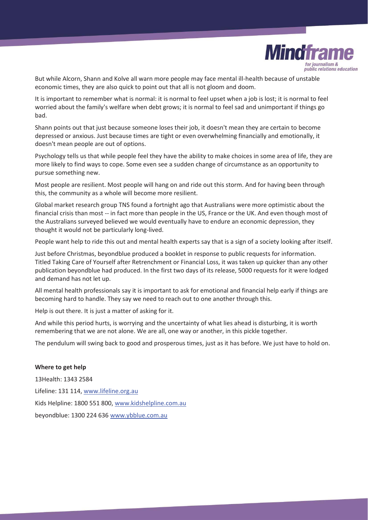

But while Alcorn, Shann and Kolve all warn more people may face mental ill-health because of unstable economic times, they are also quick to point out that all is not gloom and doom.

It is important to remember what is normal: it is normal to feel upset when a job is lost; it is normal to feel worried about the family's welfare when debt grows; it is normal to feel sad and unimportant if things go bad.

Shann points out that just because someone loses their job, it doesn't mean they are certain to become depressed or anxious. Just because times are tight or even overwhelming financially and emotionally, it doesn't mean people are out of options.

Psychology tells us that while people feel they have the ability to make choices in some area of life, they are more likely to find ways to cope. Some even see a sudden change of circumstance as an opportunity to pursue something new.

Most people are resilient. Most people will hang on and ride out this storm. And for having been through this, the community as a whole will become more resilient.

Global market research group TNS found a fortnight ago that Australians were more optimistic about the financial crisis than most -- in fact more than people in the US, France or the UK. And even though most of the Australians surveyed believed we would eventually have to endure an economic depression, they thought it would not be particularly long-lived.

People want help to ride this out and mental health experts say that is a sign of a society looking after itself.

Just before Christmas, beyondblue produced a booklet in response to public requests for information. Titled Taking Care of Yourself after Retrenchment or Financial Loss, it was taken up quicker than any other publication beyondblue had produced. In the first two days of its release, 5000 requests for it were lodged and demand has not let up.

All mental health professionals say it is important to ask for emotional and financial help early if things are becoming hard to handle. They say we need to reach out to one another through this.

Help is out there. It is just a matter of asking for it.

And while this period hurts, is worrying and the uncertainty of what lies ahead is disturbing, it is worth remembering that we are not alone. We are all, one way or another, in this pickle together.

The pendulum will swing back to good and prosperous times, just as it has before. We just have to hold on.

#### **Where to get help**

13Health: 1343 2584 Lifeline: 131 114, www.lifeline.org.au Kids Helpline: 1800 551 800, www.kidshelpline.com.au beyondblue: 1300 224 636 www.ybblue.com.au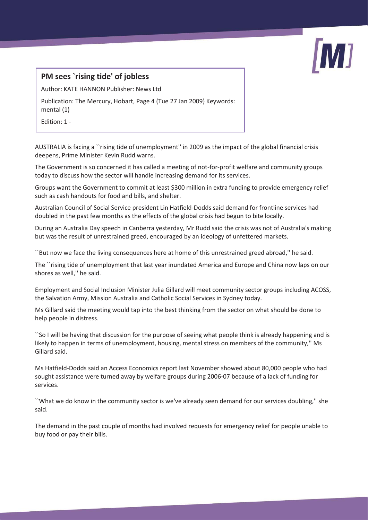

## **PM sees `rising tide' of jobless**

Author: KATE HANNON Publisher: News Ltd

Publication: The Mercury, Hobart, Page 4 (Tue 27 Jan 2009) Keywords: mental (1)

Edition: 1 -

AUSTRALIA is facing a ``rising tide of unemployment'' in 2009 as the impact of the global financial crisis deepens, Prime Minister Kevin Rudd warns.

The Government is so concerned it has called a meeting of not-for-profit welfare and community groups today to discuss how the sector will handle increasing demand for its services.

Groups want the Government to commit at least \$300 million in extra funding to provide emergency relief such as cash handouts for food and bills, and shelter.

Australian Council of Social Service president Lin Hatfield-Dodds said demand for frontline services had doubled in the past few months as the effects of the global crisis had begun to bite locally.

During an Australia Day speech in Canberra yesterday, Mr Rudd said the crisis was not of Australia's making but was the result of unrestrained greed, encouraged by an ideology of unfettered markets.

``But now we face the living consequences here at home of this unrestrained greed abroad,'' he said.

The ``rising tide of unemployment that last year inundated America and Europe and China now laps on our shores as well,'' he said.

Employment and Social Inclusion Minister Julia Gillard will meet community sector groups including ACOSS, the Salvation Army, Mission Australia and Catholic Social Services in Sydney today.

Ms Gillard said the meeting would tap into the best thinking from the sector on what should be done to help people in distress.

``So I will be having that discussion for the purpose of seeing what people think is already happening and is likely to happen in terms of unemployment, housing, mental stress on members of the community,'' Ms Gillard said.

Ms Hatfield-Dodds said an Access Economics report last November showed about 80,000 people who had sought assistance were turned away by welfare groups during 2006-07 because of a lack of funding for services.

``What we do know in the community sector is we've already seen demand for our services doubling,'' she said.

The demand in the past couple of months had involved requests for emergency relief for people unable to buy food or pay their bills.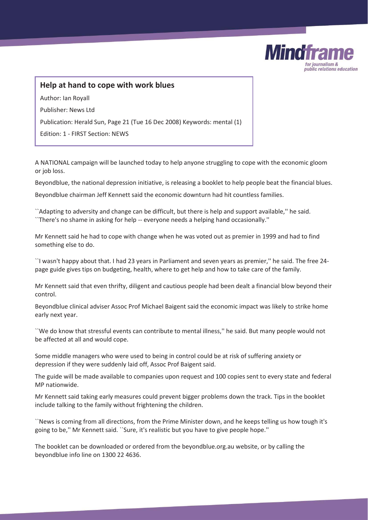

## **Help at hand to cope with work blues**

Author: Ian Royall

Publisher: News Ltd

Publication: Herald Sun, Page 21 (Tue 16 Dec 2008) Keywords: mental (1)

Edition: 1 - FIRST Section: NEWS

A NATIONAL campaign will be launched today to help anyone struggling to cope with the economic gloom or job loss.

Beyondblue, the national depression initiative, is releasing a booklet to help people beat the financial blues.

Beyondblue chairman Jeff Kennett said the economic downturn had hit countless families.

``Adapting to adversity and change can be difficult, but there is help and support available,'' he said. ``There's no shame in asking for help -- everyone needs a helping hand occasionally.''

Mr Kennett said he had to cope with change when he was voted out as premier in 1999 and had to find something else to do.

``I wasn't happy about that. I had 23 years in Parliament and seven years as premier,'' he said. The free 24 page guide gives tips on budgeting, health, where to get help and how to take care of the family.

Mr Kennett said that even thrifty, diligent and cautious people had been dealt a financial blow beyond their control.

Beyondblue clinical adviser Assoc Prof Michael Baigent said the economic impact was likely to strike home early next year.

``We do know that stressful events can contribute to mental illness,'' he said. But many people would not be affected at all and would cope.

Some middle managers who were used to being in control could be at risk of suffering anxiety or depression if they were suddenly laid off, Assoc Prof Baigent said.

The guide will be made available to companies upon request and 100 copies sent to every state and federal MP nationwide.

Mr Kennett said taking early measures could prevent bigger problems down the track. Tips in the booklet include talking to the family without frightening the children.

``News is coming from all directions, from the Prime Minister down, and he keeps telling us how tough it's going to be,'' Mr Kennett said. ``Sure, it's realistic but you have to give people hope.''

The booklet can be downloaded or ordered from the beyondblue.org.au website, or by calling the beyondblue info line on 1300 22 4636.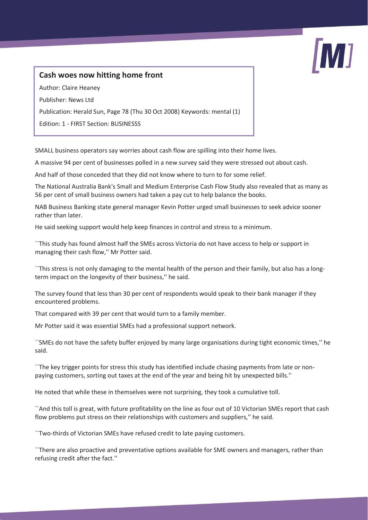

## **Cash woes now hitting home front**

Author: Claire Heaney

Publisher: News Ltd

Publication: Herald Sun, Page 78 (Thu 30 Oct 2008) Keywords: mental (1)

Edition: 1 - FIRST Section: BUSINESSS

SMALL business operators say worries about cash flow are spilling into their home lives.

A massive 94 per cent of businesses polled in a new survey said they were stressed out about cash.

And half of those conceded that they did not know where to turn to for some relief.

The National Australia Bank's Small and Medium Enterprise Cash Flow Study also revealed that as many as 56 per cent of small business owners had taken a pay cut to help balance the books.

NAB Business Banking state general manager Kevin Potter urged small businesses to seek advice sooner rather than later.

He said seeking support would help keep finances in control and stress to a minimum.

``This study has found almost half the SMEs across Victoria do not have access to help or support in managing their cash flow,'' Mr Potter said.

``This stress is not only damaging to the mental health of the person and their family, but also has a longterm impact on the longevity of their business,'' he said.

The survey found that less than 30 per cent of respondents would speak to their bank manager if they encountered problems.

That compared with 39 per cent that would turn to a family member.

Mr Potter said it was essential SMEs had a professional support network.

``SMEs do not have the safety buffer enjoyed by many large organisations during tight economic times,'' he said.

``The key trigger points for stress this study has identified include chasing payments from late or nonpaying customers, sorting out taxes at the end of the year and being hit by unexpected bills.''

He noted that while these in themselves were not surprising, they took a cumulative toll.

``And this toll is great, with future profitability on the line as four out of 10 Victorian SMEs report that cash flow problems put stress on their relationships with customers and suppliers,'' he said.

``Two-thirds of Victorian SMEs have refused credit to late paying customers.

``There are also proactive and preventative options available for SME owners and managers, rather than refusing credit after the fact.''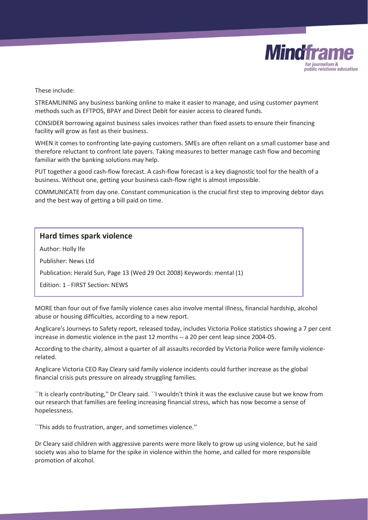

These include:

STREAMLINING any business banking online to make it easier to manage, and using customer payment methods such as EFTPOS, BPAY and Direct Debit for easier access to cleared funds.

CONSIDER borrowing against business sales invoices rather than fixed assets to ensure their financing facility will grow as fast as their business.

WHEN it comes to confronting late-paying customers. SMEs are often reliant on a small customer base and therefore reluctant to confront late payers. Taking measures to better manage cash flow and becoming familiar with the banking solutions may help.

PUT together a good cash-flow forecast. A cash-flow forecast is a key diagnostic tool for the health of a business. Without one, getting your business cash-flow right is almost impossible.

COMMUNICATE from day one. Constant communication is the crucial first step to improving debtor days and the best way of getting a bill paid on time.

#### **Hard times spark violence**

Author: Holly Ife

Publisher: News Ltd

Publication: Herald Sun, Page 13 (Wed 29 Oct 2008) Keywords: mental (1)

Edition: 1 - FIRST Section: NEWS

MORE than four out of five family violence cases also involve mental illness, financial hardship, alcohol abuse or housing difficulties, according to a new report.

Anglicare's Journeys to Safety report, released today, includes Victoria Police statistics showing a 7 per cent increase in domestic violence in the past 12 months -- a 20 per cent leap since 2004-05.

According to the charity, almost a quarter of all assaults recorded by Victoria Police were family violencerelated.

Anglicare Victoria CEO Ray Cleary said family violence incidents could further increase as the global financial crisis puts pressure on already struggling families.

``It is clearly contributing,'' Dr Cleary said. ``I wouldn't think it was the exclusive cause but we know from our research that families are feeling increasing financial stress, which has now become a sense of hopelessness.

``This adds to frustration, anger, and sometimes violence.''

Dr Cleary said children with aggressive parents were more likely to grow up using violence, but he said society was also to blame for the spike in violence within the home, and called for more responsible promotion of alcohol.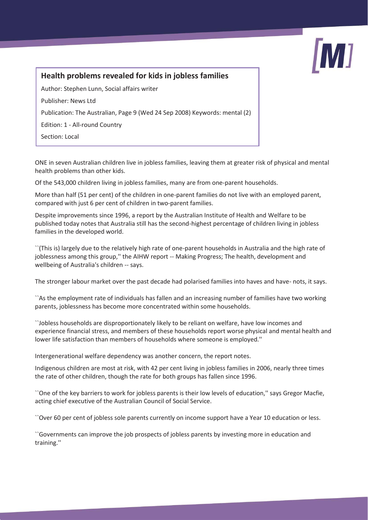

## **Health problems revealed for kids in jobless families**

Author: Stephen Lunn, Social affairs writer

Publisher: News Ltd

Publication: The Australian, Page 9 (Wed 24 Sep 2008) Keywords: mental (2)

Edition: 1 - All-round Country

Section: Local

ONE in seven Australian children live in jobless families, leaving them at greater risk of physical and mental health problems than other kids.

Of the 543,000 children living in jobless families, many are from one-parent households.

More than half (51 per cent) of the children in one-parent families do not live with an employed parent, compared with just 6 per cent of children in two-parent families.

Despite improvements since 1996, a report by the Australian Institute of Health and Welfare to be published today notes that Australia still has the second-highest percentage of children living in jobless families in the developed world.

``(This is) largely due to the relatively high rate of one-parent households in Australia and the high rate of joblessness among this group,'' the AIHW report -- Making Progress; The health, development and wellbeing of Australia's children -- says.

The stronger labour market over the past decade had polarised families into haves and have- nots, it says.

``As the employment rate of individuals has fallen and an increasing number of families have two working parents, joblessness has become more concentrated within some households.

``Jobless households are disproportionately likely to be reliant on welfare, have low incomes and experience financial stress, and members of these households report worse physical and mental health and lower life satisfaction than members of households where someone is employed.''

Intergenerational welfare dependency was another concern, the report notes.

Indigenous children are most at risk, with 42 per cent living in jobless families in 2006, nearly three times the rate of other children, though the rate for both groups has fallen since 1996.

``One of the key barriers to work for jobless parents is their low levels of education,'' says Gregor Macfie, acting chief executive of the Australian Council of Social Service.

``Over 60 per cent of jobless sole parents currently on income support have a Year 10 education or less.

``Governments can improve the job prospects of jobless parents by investing more in education and training.''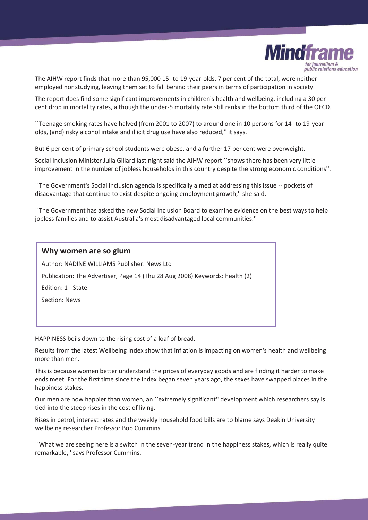

The AIHW report finds that more than 95,000 15- to 19-year-olds, 7 per cent of the total, were neither employed nor studying, leaving them set to fall behind their peers in terms of participation in society.

The report does find some significant improvements in children's health and wellbeing, including a 30 per cent drop in mortality rates, although the under-5 mortality rate still ranks in the bottom third of the OECD.

``Teenage smoking rates have halved (from 2001 to 2007) to around one in 10 persons for 14- to 19-yearolds, (and) risky alcohol intake and illicit drug use have also reduced,'' it says.

But 6 per cent of primary school students were obese, and a further 17 per cent were overweight.

Social Inclusion Minister Julia Gillard last night said the AIHW report ``shows there has been very little improvement in the number of jobless households in this country despite the strong economic conditions''.

``The Government's Social Inclusion agenda is specifically aimed at addressing this issue -- pockets of disadvantage that continue to exist despite ongoing employment growth,'' she said.

``The Government has asked the new Social Inclusion Board to examine evidence on the best ways to help jobless families and to assist Australia's most disadvantaged local communities.''

| Why women are so glum                                                       |
|-----------------------------------------------------------------------------|
| Author: NADINE WILLIAMS Publisher: News Ltd                                 |
| Publication: The Advertiser, Page 14 (Thu 28 Aug 2008) Keywords: health (2) |
| Edition: 1 - State                                                          |
| Section: News                                                               |
|                                                                             |

HAPPINESS boils down to the rising cost of a loaf of bread.

Results from the latest Wellbeing Index show that inflation is impacting on women's health and wellbeing more than men.

This is because women better understand the prices of everyday goods and are finding it harder to make ends meet. For the first time since the index began seven years ago, the sexes have swapped places in the happiness stakes.

Our men are now happier than women, an ``extremely significant'' development which researchers say is tied into the steep rises in the cost of living.

Rises in petrol, interest rates and the weekly household food bills are to blame says Deakin University wellbeing researcher Professor Bob Cummins.

``What we are seeing here is a switch in the seven-year trend in the happiness stakes, which is really quite remarkable,'' says Professor Cummins.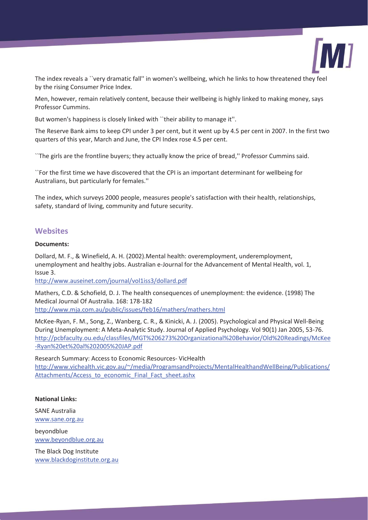

The index reveals a ``very dramatic fall'' in women's wellbeing, which he links to how threatened they feel by the rising Consumer Price Index.

Men, however, remain relatively content, because their wellbeing is highly linked to making money, says Professor Cummins.

But women's happiness is closely linked with ``their ability to manage it''.

The Reserve Bank aims to keep CPI under 3 per cent, but it went up by 4.5 per cent in 2007. In the first two quarters of this year, March and June, the CPI Index rose 4.5 per cent.

``The girls are the frontline buyers; they actually know the price of bread,'' Professor Cummins said.

``For the first time we have discovered that the CPI is an important determinant for wellbeing for Australians, but particularly for females.''

The index, which surveys 2000 people, measures people's satisfaction with their health, relationships, safety, standard of living, community and future security.

#### **Websites**

#### **Documents:**

Dollard, M. F., & Winefield, A. H. (2002).Mental health: overemployment, underemployment, unemployment and healthy jobs. Australian e-Journal for the Advancement of Mental Health, vol. 1, Issue 3.

http://www.auseinet.com/journal/vol1iss3/dollard.pdf

Mathers, C.D. & Schofield, D. J. The health consequences of unemployment: the evidence. (1998) The Medical Journal Of Australia. 168: 178-182 http://www.mja.com.au/public/issues/feb16/mathers/mathers.html

McKee-Ryan, F. M., Song, Z., Wanberg, C. R., & Kinicki, A. J. (2005). Psychological and Physical Well-Being During Unemployment: A Meta-Analytic Study. Journal of Applied Psychology. Vol 90(1) Jan 2005, 53-76. http://pcbfaculty.ou.edu/classfiles/MGT%206273%20Organizational%20Behavior/Old%20Readings/McKee -Ryan%20et%20al%202005%20JAP.pdf

Research Summary: Access to Economic Resources- VicHealth http://www.vichealth.vic.gov.au/~/media/ProgramsandProjects/MentalHealthandWellBeing/Publications/ Attachments/Access\_to\_economic\_Final\_Fact\_sheet.ashx

#### **National Links:**

SANE Australia www.sane.org.au

beyondblue www.beyondblue.org.au

The Black Dog Institute www.blackdoginstitute.org.au